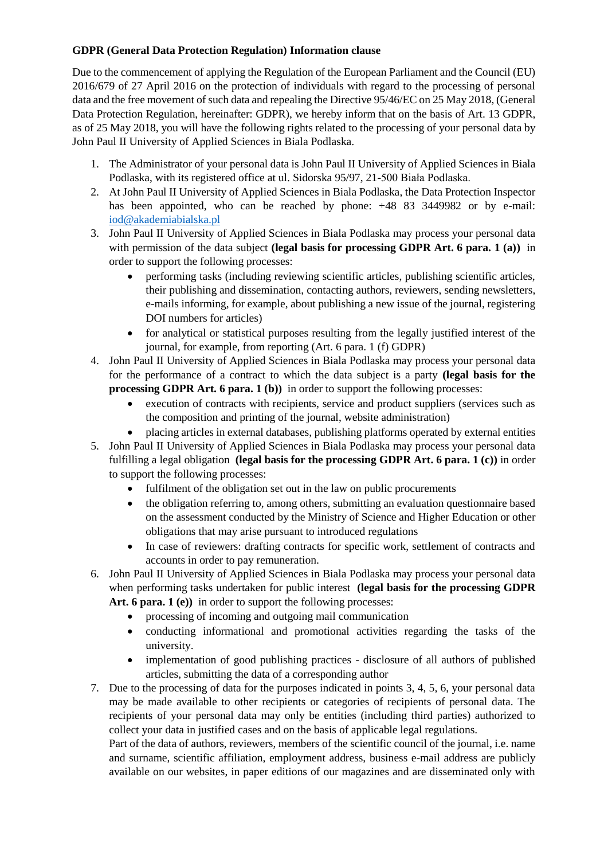## **GDPR (General Data Protection Regulation) Information clause**

Due to the commencement of applying the Regulation of the European Parliament and the Council (EU) 2016/679 of 27 April 2016 on the protection of individuals with regard to the processing of personal data and the free movement of such data and repealing the Directive 95/46/EC on 25 May 2018, (General Data Protection Regulation, hereinafter: GDPR), we hereby inform that on the basis of Art. 13 GDPR, as of 25 May 2018, you will have the following rights related to the processing of your personal data by John Paul II University of Applied Sciences in Biala Podlaska.

- 1. The Administrator of your personal data is John Paul II University of Applied Sciences in Biala Podlaska, with its registered office at ul. Sidorska 95/97, 21-500 Biała Podlaska.
- 2. At John Paul II University of Applied Sciences in Biala Podlaska, the Data Protection Inspector hasbeen appointed, who can be reached by phone:  $+48$  83 3449982 or by e-mail: [iod@akademiabialska.pl](mailto:%20iod@akademiabialska.pl)
- 3. John Paul II University of Applied Sciences in Biala Podlaska may process your personal data with permission of the data subject **(legal basis for processing GDPR Art. 6 para. 1 (a)**) in order to support the following processes:
	- performing tasks (including reviewing scientific articles, publishing scientific articles, their publishing and dissemination, contacting authors, reviewers, sending newsletters, e-mails informing, for example, about publishing a new issue of the journal, registering DOI numbers for articles)
	- for analytical or statistical purposes resulting from the legally justified interest of the journal, for example, from reporting (Art. 6 para. 1 (f) GDPR)
- 4. John Paul II University of Applied Sciences in Biala Podlaska may process your personal data for the performance of a contract to which the data subject is a party **(legal basis for the processing GDPR Art. 6 para. 1 (b))** in order to support the following processes:
	- execution of contracts with recipients, service and product suppliers (services such as the composition and printing of the journal, website administration)
	- placing articles in external databases, publishing platforms operated by external entities
- 5. John Paul II University of Applied Sciences in Biala Podlaska may process your personal data fulfilling a legal obligation **(legal basis for the processing GDPR Art. 6 para. 1 (c))** in order to support the following processes:
	- fulfilment of the obligation set out in the law on public procurements
	- the obligation referring to, among others, submitting an evaluation questionnaire based on the assessment conducted by the Ministry of Science and Higher Education or other obligations that may arise pursuant to introduced regulations
	- In case of reviewers: drafting contracts for specific work, settlement of contracts and accounts in order to pay remuneration.
- 6. John Paul II University of Applied Sciences in Biala Podlaska may process your personal data when performing tasks undertaken for public interest **(legal basis for the processing GDPR**  Art. 6 para. 1 (e)) in order to support the following processes:
	- processing of incoming and outgoing mail communication
	- conducting informational and promotional activities regarding the tasks of the university.
	- implementation of good publishing practices disclosure of all authors of published articles, submitting the data of a corresponding author
- 7. Due to the processing of data for the purposes indicated in points 3, 4, 5, 6, your personal data may be made available to other recipients or categories of recipients of personal data. The recipients of your personal data may only be entities (including third parties) authorized to collect your data in justified cases and on the basis of applicable legal regulations.

Part of the data of authors, reviewers, members of the scientific council of the journal, i.e. name and surname, scientific affiliation, employment address, business e-mail address are publicly available on our websites, in paper editions of our magazines and are disseminated only with